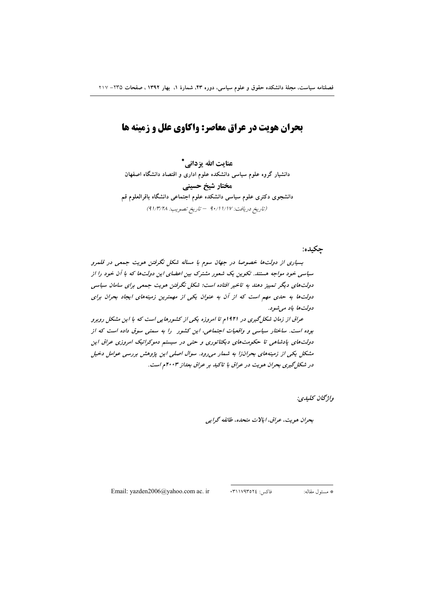# **بحران هويت در عراق معاصر: واكاوي علل و زمينه ها**

عنايت الله يزداني\* دانشیار گروه علوم سیاسی دانشکده علوم اداری و اقتصاد دانشگاه اصفهان مختار شيخ حسيني دانشجوی دکتری علوم سیاسی دانشکده علوم اجتماعی دانشگاه باقرالعلوم قم (تاريخ دريافت: ١/١٧ /٩٠/١٧ - تاريخ تصويب: ٩١/٣/٢٨)

جکيده:

بسیاری از دولتها خصوصا در جهان سوم با مساله شکل نگرفتن هویت جمعی در قلمرو سیاسی خود مواجه هستند. تکوین یک شعور مشترک بین اعضای این دولتها که با آن خود را از دولت های دیگر تمییز دهند به تاخیر افتاده است؛ شکل نگرفتن هویت جمعی برای سامان سیاسی دولتها به حدی مهم است که از آن به عنوان یکی از مهمترین زمینههای ایجاد بحران برای دولتها ياد مي شود. عراق از زمان شکل گیری در ۱۹۲۱م تا امروزه یکی از کشورهایی است که با این مشکل روبرو بوده است. ساختار سیاسی و واقعیات اجتماعی، این کشور را به سمتی سوق داده است که از دولت های پادشاهی تا حکومت های دیکتاتوری و حتی در سیستم دموکراتیک امروزی عراق این مشکل یکی از زمینههای بحرانزا به شمار می رود. سوال اصلی این پژوهش بررسی عوامل دخیل در شکل گیری بحران هویت در عراق با تاکید بر عراق بعداز ۲۰۰۳م است.

واژگان كليدي:

بحران هويت، عراق، ايالات متحده، طائفه گرايي

Email: yazden2006@yahoo.com ac. ir

فاكس: ١٧٩٣٥٢٤٠.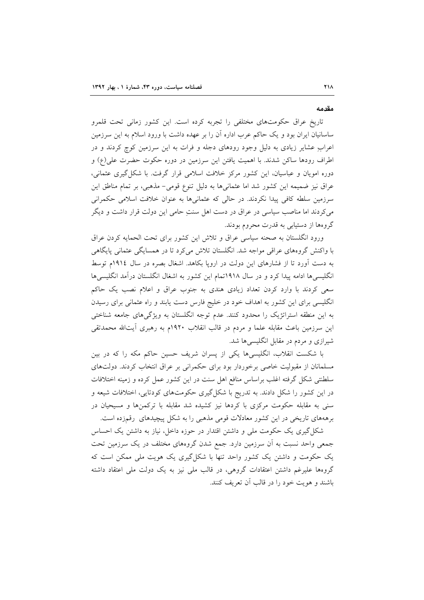#### مقدمه

تاریخ عراق حکومتهای مختلفی را تجربه کرده است. این کشور زمانی تحت قلمرو ساسانیان ایران بود و یک حاکم عرب اداره آن را بر عهده داشت با ورود اسلام به این سرزمین اعرابِ عشایر زیادی به دلیل وجود رودهای دجله و فرات به این سرزمین کوچ کردند و در اطراف رودها ساکن شدند. با اهمیت یافتن این سرزمین در دوره حکوت حضرت علی(ع) و دوره امویان و عباسیان، این کشور مرکز خلافت اسلامی قرار گرفت. با شکل گیری عثمانی، عراق نیز ضمیمه این کشور شد اما عثمانیها به دلیل تنوع قومی- مذهبی، بر تمام مناطق این سرزمین سلطه کافی پیدا نکردند. در حالی که عثمانیها به عنوان خلافت اسلامی حکمرانی می کردند اما مناصب سیاسی در عراق در دست اهل سنتِ حامی این دولت قرار داشت و دیگر گروهها از دستیابی به قدرت محروم بودند.

ورود انگلستان به صحنه سیاسی عراق و تلاش این کشور برای تحت الحمایه کردن عراق با واکنش گروههای عراقی مواجه شد. انگلستان تلاش میکرد تا در همسایگی عثمانی پایگاهی به دست آورد تا از فشارهای این دولت در اروپا بکاهد. اشغال بصره در سال ۱۹۱٤م توسط انگلیسیها ادامه پیدا کرد و در سال ۱۹۱۸تمام این کشور به اشغال انگلستان درآمد انگلیسیها سعی کردند با وارد کردن تعداد زیادی هندی به جنوب عراق و اعلام نصب یک حاکم انگلیسی برای این کشور به اهداف خود در خلیج فارس دست یابند و راه عثمانی برای رسیدن به این منطقه استراتژیک را محدود کنند. عدم توجه انگلستان به ویژگیهای جامعه شناختی این سرزمین باعث مقابله علما و مردم در قالب انقلاب ۱۹۲۰م به رهبری آیتالله محمدتقی شیرازی و مردم در مقابل انگلیسی ها شد.

با شکست انقلاب، انگلیسیها یکی از پسران شریف حسین حاکم مکه را که در بین مسلمانان از مقبولیت خاصی برخوردار بود برای حکمرانی بر عراق انتخاب کردند. دولتهای سلطنتی شکل گرفته اغلب براساس منافع اهل سنت در این کشور عمل کرده و زمینه اختلافات در این کشور را شکل دادند. به تدریج با شکل گیری حکومتهای کودتایی، اختلافات شیعه و سنی به مقابله حکومت مرکزی با کردها نیز کشیده شد مقابله با ترکمنها و مسیحیان در برهههای تاریخی در این کشور معادلات قومی مذهبی را به شکل پیچیدهای رقمزده است.

شکل گیری یک حکومت ملی و داشتن اقتدار در حوزه داخل، نیاز به داشتن یک احساس جمعی واحد نسبت به آن سرزمین دارد. جمع شدن گروههای مختلف در یک سرزمین تحت یک حکومت و داشتن یک کشور واحد تنها با شکل گیری یک هویت ملی ممکن است که گروهها علیرغم داشتن اعتقادات گروهی، در قالب ملی نیز به یک دولت ملی اعتقاد داشته باشند و هويت خود را در قالب آن تعريف كنند.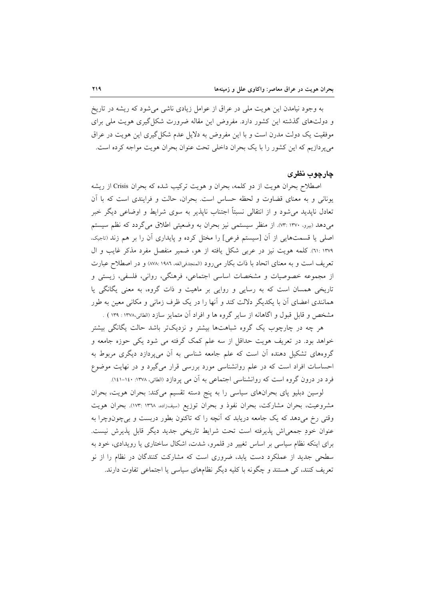به وجود نیامدن این هویت ملی در عراق از عوامل زیادی ناشی می شود که ریشه در تاریخ و دولتهای گذشته این کشور دارد. مفروض این مقاله ضرورت شکل گیری هویت ملی برای موفقیت یک دولت مدرن است و با این مفروض به دلایل عدم شکل گیری این هویت در عراق می پردازیم که این کشور را با یک بحران داخلی تحت عنوان بحران هویت مواجه کرده است.

#### چارچوب نظری

اصطلاح بحران هويت از دو كلمه، بحران و هويت تركيب شده كه بحران Crisis از ريشه یونانی و به معنای قضاوت و لحظه حساس است. بحران، حالت و فرایندی است که با آن تعادل ناپدید میشود و از انتقالی نسبتاً اجتناب ناپذیر به سوی شرایط و اوضاعی دیگر خبر میدهد (بیرو، ۱۳۷۰ :۷۳). از منظر سیستمی نیز بحران به وضعیتی اطلاق میگردد که نظم سیستم اصلی یا قسمتهایی از آن [سیستم فرعی] را مختل کرده و پایداری آن را بر هم زند (تاجیک، ٦١٢: ١٣٧١. كلمه هويت نيز در عربي شكل يافته از هو، ضمير منفصل مفرد مذكر غايب و ال تعریف است و به معنای اتحاد با ذات بکار میرود (المنجدفیالغه، ۱۹۸۶ :۷۷۸) و در اصطلاح عبارت از مجموعه خصوصیات و مشخصات اساسی اجتماعی، فرهنگی، روانی، فلسفی، زیستی و تاریخی همسان است که به رسایی و روایی بر ماهیت و ذات گروه، به معنی یگانگی یا همانندی اعضای آن با یکدیگر دلالت کند و آنها را در یک ظرف زمانی و مکانی معین به طور مشخص و قابل قبول و اگاهانه از سایر گروه ها و افراد آن متمایز سازد (الطائی،۱۳۷۸: ۱۳۹ ) .

هر چه در چارچوب یک گروه شباهتها بیشتر و نزدیکتر باشد حالت یگانگی بیشتر خواهد بود. در تعریف هویت حداقل از سه علم کمک گرفته می شود یکی حوزه جامعه و گروههای تشکیل دهنده آن است که علم جامعه شناسی به آن میپردازد دیگری مربوط به احساسات افراد است که در علم روانشناسی مورد بررسی قرار میگیرد و در نهایت موضوع فرد در درون گروه است که روانشناسی اجتماعی به آن می پردازد (الطائی، ۱۳۷۸: ۱٤۰-۱٤۱).

لوسین دبلیو پای بحرانهای سیاسی را به پنج دسته تقسیم میکند: بحران هویت، بحران مشروعیت، بحران مشارکت، بحران نفوذ و بحران توزیع (سیفزاده ۱۳۷۰ :۱۷۳). بحران هویت وقتی رخ میدهد که یک جامعه دریابد که آنچه را که تاکنون بطور دربست و بی چونوچرا به عنوان خودِ جمعیاش پذیرفته است تحت شرایط تاریخی جدید دیگر قابل پذیرش نیست. برای اینکه نظام سیاسی بر اساس تغییر در قلمرو، شدت، اشکال ساختاری یا رویدادی، خود به سطحی جدید از عملکرد دست پابد، ضروری است که مشارکت کنندگان در نظام را از نو تعریف کنند، کی هستند و چگونه با کلیه دیگر نظامهای سیاسی یا اجتماعی تفاوت دارند.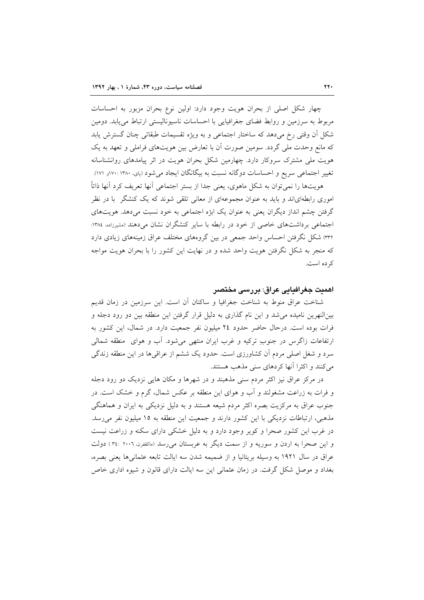چهار شکل اصلی از بحران هویت وجود دارد: اولین نوع بحران مزبور به احساسات مربوط به سرزمین و روابط فضای جغرافیایی با احساسات ناسیونالیستی ارتباط می یابد. دومین شکل آن وقتی رخ میدهد که ساختار اجتماعی و به ویژه تقسیمات طبقاتی چنان گسترش یابد که مانع وحدت ملی گردد. سومین صورت آن با تعارض بین هویتهای فراملی و تعهد به یک هویت ملی مشترک سروکار دارد. چهارمین شکل بحران هویت در اثر پیامدهای روانشناسانه تغییر اجتماعی سریع و احساسات دوگانه نسبت به بیگانگان ایجاد میشود (پای، ۱۳۸۰ :۱۷۰و ۱۷۱).

هويتها را نمي توان به شكل ماهوى، يعني جدا از بستر اجتماعي آنها تعريف كرد آنها ذاتاً اموری رابطهای[ند و باید به عنوان مجموعهای از معانی تلقی شوند که یک کنشگر ً با در نظر گرفتن چشم انداز دیگران یعنی به عنوان یک ابژه اجتماعی به خود نسبت میدهد. هویتهای اجتماعی برداشتهای خاصی از خود در رابطه با سایر کنشگران نشان میدهند (مشیرزاده، ۱۳۸٤: ۳۳۲) شکل نگرفتن احساس واحد جمعی در بین گروههای مختلف عراق زمینههای زیادی دارد که منجر به شکل نگرفتن هویت واحد شده و در نهایت این کشور را با بحران هویت مواجه كرده است.

#### اھم**یت جغ**رافیایی عراق: بررس*ی* مختصر

شناخت عراق منوط به شناخت جغرافیا و ساکنان آن است. این سرزمین در زمان قدیم بینالنهرین نامیده می شد و این نام گذاری به دلیل قرار گرفتن این منطقه بین دو رود دجله و فرات بوده است. درحال حاضر حدود ٢٤ ميليون نفر جمعيت دارد. در شمال، اين كشور به ارتفاعات زاگرس در جنوبِ ترکیه و غرب ایران منتهی می شود. آب و هوای ً منطقه شمالی سرد و شغل اصلی مردم آن کشاورزی است. حدود یک ششم از عراقبیها در این منطقه زندگی می کنند و اکثرا آنها کر دهای سنی مذهب هستند.

در مرکز عراق نیز اکثر مردم سنی مذهبند و در شهرها و مکان هایی نزدیک دو رود دجله و فرات به زراعت مشغولند و آب و هوای این منطقه بر عکس شمال، گرم و خشک است. در جنوب عراق به مرکزیت بصره اکثر مردم شیعه هستند و به دلیل نزدیکی به ایران و هماهنگی مذهبی، ارتباطات نزدیکی با این کشور دارند و جمعیت این منطقه به ١٥ میلیون نفر می رسد. در غرب این کشور صحرا و کویر وجود دارد و به دلیل خشکی دارای سکنه و زراعت نیست و این صحراً به اردن و سوریه و از سمت دیگر به عربستان میرسد (ماکففرن ۳۰۰۱ :۳٤) دولت عراق در سال ۱۹۲۱ به وسیله بریتانیا و از ضمیمه شدن سه ایالت تابعه عثمانی ها یعنی بصره، بغداد و موصل شکل گرفت. در زمان عثمانی این سه ایالت دارای قانون و شیوه اداری خاص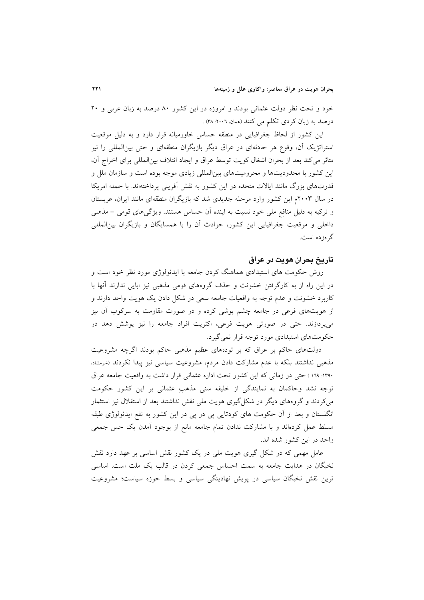خود و تحت نظر دولت عثمانی بودند و امروزه در این کشور ۸۰ درصد به زبان عربی و ۲۰ درصد به زبان کردی تکلم می کنند (همان، ۲۰۰۲: ۳۸) .

این کشور از لحاظ جغرافیایی در منطقه حساس خاورمیانه قرار دارد و به دلیل موقعیت استراتژیک آن، وقوع هر حادثهای در عراق دیگر بازیگران منطقهای و حتی بین|لمللی را نیز متاثر می کند بعد از بحران اشغال کویت توسط عراق و ایجاد ائتلاف بین|لمللی برای اخراج آن، این کشور با محدودیتها و محرومیتهای بین المللی زیادی موجه بوده است و سازمان ملل و قدرتهای بزرگ مانند ایالات متحده در این کشور به نقش آفرینی پرداختهاند. با حمله امریکا در سال ۲۰۰۳م این کشور وارد مرحله جدیدی شد که بازیگران منطقهای مانند ایران، عربستان و ترکیه به دلیل منافع ملی خود نسبت به اینده آن حساس هستند. ویژگیهای قومی – مذهبی داخلی و موقعیت جغرافیایی این کشور، حوادث آن را با همسایگان و بازیگران بین المللی گر هز ده است.

### تاريخ بحران هويت در عراق

روش حکومت های استبدادی هماهنگ کردن جامعه با ایدئولوژی مورد نظر خود است و در این راه از به کارگرفتن خشونت و حذف گروههای قومی مذهبی نیز ابایی ندارند آنها با کاربرد خشونت و عدم توجه به واقعیات جامعه سعی در شکل دادن یک هویت واحد دارند و از هویتهای فرعی در جامعه چشم پوشی کرده و در صورت مقاومت به سرکوب آن نیز می پردازند. حتی در صورتی هویت فرعی، اکثریت افراد جامعه را نیز پوشش دهد در حکومتهای استبدادی مورد توجه قرار نمی گیرد.

دولتهای حاکم بر عراق که بر تودههای عظیم مذهبی حاکم بودند اگرچه مشروعیت مذهبی نداشتند بلکه با عدم مشارکت دادن مردم، مشروعیت سیاسی نیز پیدا نکردند (خرمشاد، ۱۳۹۰: ۱۲۹ ) حتی در زمانی که این کشور تحت اداره عثمانی قرار داشت به واقعیت جامعه عراق توجه نشد وحاکمان به نمایندگی از خلیفه سنی مذهبِ عثمانی بر این کشور حکومت می کردند و گروههای دیگر در شکل گیری هویت ملی نقش نداشتند بعد از استقلال نیز استثمار انگلستان و بعد از آن حکومت های کودتایی پی در پی در این کشور به نفع ایدئولوژی طبقه مسلط عمل کردهاند و با مشارکت ندادن تمام جامعه مانع از بوجود آمدن یک حس جمعی واحد در این کشور شده اند.

عامل مهمی که در شکل گیری هویت ملی در یک کشور نقش اساسی بر عهد دارد نقش نخبگان در هدایت جامعه به سمت احساس جمعی کردن در قالب یک ملت است. اساسی ترین نقش نخبگان سیاسی در پویش نهادینگی سیاسی و بسط حوزه سیاست؛ مشروعیت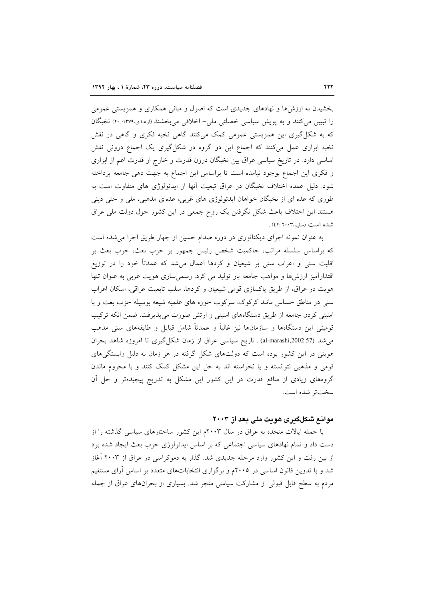بخشیدن به ارزشها و نهادهای جدیدی است که اصول و مبانی همکاری و همزیستی عمومی را تبیین می کنند و به پویش سیاسی خصلتی ملی- اخلاقی میبخشند (ازغندی،۱۳۷۹: ۲۰) نخبگان که به شکل گیری این همزیستی عمومی کمک میکنند گاهی نخبه فکری و گاهی در نقش نخبه ابزاری عمل میکنند که اجماع این دو گروه در شکل گیری یک اجماع درونی نقش اساسی دارد. در تاریخ سیاسی عراق بین نخبگان درون قدرت و خارج از قدرت اعم از ابزاری و فکری این اجماع بوجود نیامده است تا براساس این اجماع به جهت دهی جامعه پرداخته شود. دلیل عمده اختلاف نخبگان در عراق تبعیت آنها از ایدئولوژی های متفاوت است به طوری که عده ای از نخبگان خواهان ایدئولوژی های غربی، عدهای مذهبی، ملی و حتی دینی هستند این اختلاف باعث شکل نگرفتن یک روح جمعی در این کشور حول دولت ملی عراق شده است (سليم،٢٠٠٣:٤٢).

به عنوان نمونه اجرای دیکتاتوری در دوره صدام حسین از چهار طریق اجرا می شده است که براساس سلسله مراتب، حاکمیت شخص رئیس جمهور بر حزب بعث، حزب بعث بر اقلیت سنی و اعراب سنی بر شیعیان و کردها اعمال میشد که عمدتاً خود را در توزیع اقتدارآمیز ارزش۵ا و مواهب جامعه باز تولید می کرد. رسمیسازی هویت عربی به عنوان تنها هویت در عراق، از طریق پاکسازی قومی شیعیان و کردها، سلب تابعیت عراقی، اسکان اعراب سنی در مناطق حساس مانند کرکوک، سرکوب حوزه های علمیه شیعه بوسیله حزب بعث و با امنیتی کردن جامعه از طریق دستگاههای امنیتی و ارتش صورت میپذیرفت. ضمن انکه ترکیب قومیتی این دستگاهها و سازمانها نیز غالباً و عمدتاً شامل قبایل و طایفههای سنی مذهب می شد (al-marashi,2002:57) . تاریخ سیاسی عراق از زمان شکل گیری تا امروزه شاهد بحران هویتی در این کشور بوده است که دولتهای شکل گرفته در هر زمان به دلیل وابستگیهای قومی و مذهبی نتوانسته و یا نخواسته اند به حل این مشکل کمک کنند و با محروم ماندن گروههای زیادی از منافع قدرت در این کشور این مشکل به تدریج پیچیدهتر و حل آن سخت تر شده است.

# موانع شکلگیری هویت ملی بعد از ۲۰۰۳

با حمله ایالات متحده به عراق در سال ۲۰۰۳م این کشور ساختارهای سیاسی گذشته را از دست داد و تمام نهادهای سیاسی اجتماعی که بر اساس ایدئولوژی حزب بعث ایجاد شده بود از بین رفت و این کشور وارد مرحله جدیدی شد. گذار به دموکراسی در عراق از ۲۰۰۳ آغاز شد و با تدوین قانون اساسی در ۲۰۰۵م و برگزاری انتخاباتهای متعدد بر اساس آرای مستقیم مردم به سطح قابل قبولی از مشارکت سیاسی منجر شد. بسیاری از بحرانهای عراق از جمله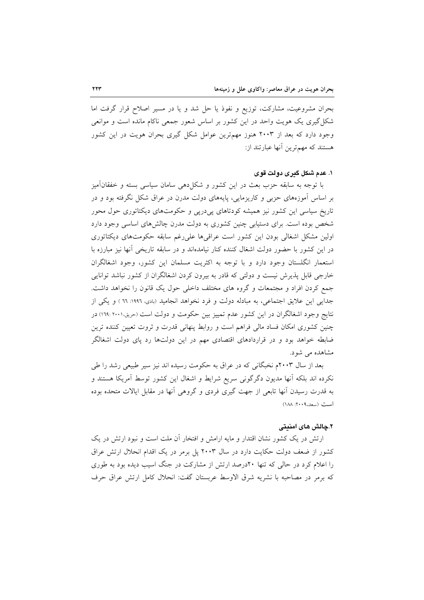بحران مشروعیت، مشارکت، توزیع و نفوذ یا حل شد و یا در مسیر اصلاح قرار گرفت اما شکل گیری یک هویت واحد در این کشور بر اساس شعور جمعی ناکام مانده است و موانعی وجود دارد که بعد از ۲۰۰۳ هنوز مهمترین عوامل شکل گیری بحران هویت در این کشور هستند که مهمترین آنها عبارتند از:

## ۱. عدم شکل گیری دولت قوی

با توجه به سابقه حزب بعث در این کشور و شکا دهی سامان سیاسی بسته و خفقانآمیز بر اساس آموزههای حزبی و کاریزمایی، پایههای دولت مدرن در عراق شکل نگرفته بود و در تاریخ سیاسی این کشور نیز همیشه کودتاهای پیدرپی و حکومتهای دیکتاتوری حول محور شخص بوده است. برای دستیابی چنین کشوری به دولت مدرن چالش های اساسی وجود دارد اولین مشکل اشغالی بودن این کشور است عراقبیها علی رغم سابقه حکومتهای دیکتاتوری در این کشور با حضور دولت اشغال کننده کنار نیامدهاند و در سابقه تاریخی آنها نیز مبارزه با استعمار انگلستان وجود دارد و با توجه به اکثریت مسلمان این کشور، وجود اشغالگران خارجی قابل پذیرش نیست و دولتی که قادر به بیرون کردن اشغالگران از کشور نباشد توانایی جمع کردن افراد و مجتمعات و گروه های مختلف داخلی حول یک قانون را نخواهد داشت. جدایی این علایق اجتماعی، به مبادله دولت و فرد نخواهد انجامید (بادی، ۱۹۹۲: ٦٦ ) و یکی از نتایج وجود اشغالگران در این کشور عدم تمییز بین حکومت و دولت است (حریق،۲۰۰۱،۱۶۹) در چنین کشوری امکان فساد مالی فراهم است و روابط پنهانی قدرت و ثروت تعیین کننده ترین ضابطه خواهد بود و در قراردادهای اقتصادی مهم در این دولتها رد پای دولت اشغالگر مشاهده می شود.

بعد از سال ۲۰۰۳م نخبگانی که در عراق به حکومت رسیده اند نیز سیر طبیعی رشد را طی نکرده اند بلکه آنها مدیون دگرگونی سریع شرایط و اشغال این کشور توسط آمریکا هستند و به قدرت رسیدن آنها تابعی از جهت گیری فردی و گروهی آنها در مقابل ایالات متحده بوده است (سعد،۲۰۰۹: ۱۸۸)

# ٢.حالش های امنیتی

ارتش در یک کشور نشان اقتدار و مایه ارامش و افتخار آن ملت است و نبود ارتش در یک کشور از ضعف دولت حکایت دارد در سال ۲۰۰۳ پل برمر در یک اقدام انحلال ارتش عراق را اعلام کرد در حالی که تنها ۲۰درصد ارتش از مشارکت در جنگ اسیب دیده بود به طوری كه برمر در مصاحبه با نشريه شرق الاوسط عربستان گفت: انحلال كامل ارتش عراق حرف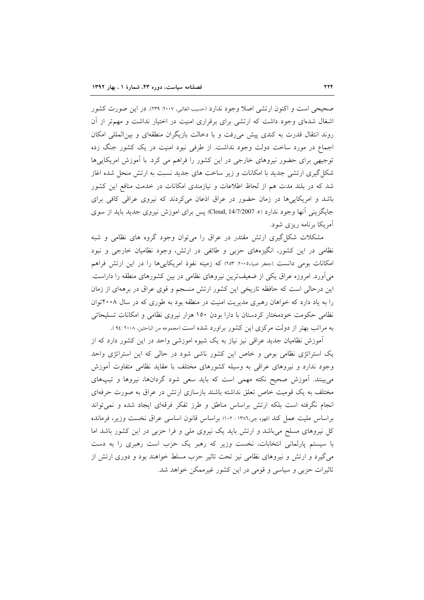صحیحی است و اکنون ارتشی اصلا وجود ندارد (حسیب الغالبی، ۲۰۰۷: ۲۳۹). در این صورت کشور اشغال شدهای وجود داشت که ارتشی برای برقراری امنیت در اختیار نداشت و مهمتر از آن روند انتقال قدرت به کندی پیش میرفت و با دخالت بازیگران منطقهای و بین|لمللی امکان اجماع در مورد ساخت دولت وجود نداشت. از طرفی نبود امنیت در یک کشور جنگ زده توجیهی برای حضور نیروهای خارجی در این کشور را فراهم می کرد. با آموزش امریکاییها شکل گیری ارتشی جدید با امکانات و زیر ساخت های جدید نسبت به ارتش منحل شده اغاز شد که در بلند مدت هم از لحاظ اطلاعات و نیازمندی امکانات در خدمت منافع این کشور باشد و امریکاییها در زمان حضور در عراق اذعان میکردند که نیروی عراقی کافی برای جايگزيني انها وجود ندارد (ه: 2007/2007)Cloud, پس براي اموزش نيروي جديد بايد از سوي آمریکا برنامه ریزی شود.

مشکلات شکل گیری ارتش مقتدر در عراق را میتوان وجود گروه های نظامی و شبه نظامی در این کشور، انگیزههای حزبی و طائفی در ارتش، وجود نظامیان خارجی و نبود امکانات بومی دانست (جعفر ضیاء٢٠٠٥: ٢٥٣) که زمینه نفوذ امریکاییها را در این ارتش فراهم میآورد. امروزه عراق یکی از ضعیفترین نیروهای نظامی در بین کشورهای منطقه را داراست. این درحالی است که حافظه تاریخی این کشور ارتش منسجم و قوی عراق در برههای از زمان را به یاد دارد که خواهان رهبری مدیریت امنیت در منطقه بود به طوری که در سال ۲۰۰۸توان نظامی حکومت خودمختار کردستان با دارا بودن ۱۵۰ هزار نیروی نظامی و امکانات تسلیحاتی به مراتب بهتر از دولت مرکزی این کشور براورد شده است (مجموعه من الباحثین، ۹٤:۲۰۰۸).

آموزش نظامیان جدید عراقی نیز نیاز به یک شیوه اموزشی واحد در این کشور دارد که از یک استراتژی نظامی بومی و خاص این کشور ناشی شود در حالی که این استراتژی واحد وجود ندارد و نیروهای عراقی به وسیله کشورهای مختلف با عقاید نظامی متفاوت آموزش میبینند. آموزش صحیح نکته مهمی است که باید سعی شود گردانها، نیروها و تیپهای مختلف به یک قومیت خاص تعلق نداشته باشند بازسازی ارتش در عراق به صورت حرفهای انجام نگرفته است بلکه ارتش براساس مناطق و طرز تفکر فرقهای ایجاد شده و نمیتواند براساس ملیت عمل کند (قهوه چی،۱۳۸٦ : ۱۰۲) براساس قانون اساسی عراق نخست وزیر، فرمانده کل نیروهای مسلح میباشد و ارتش باید یک نیروی ملی و فرا حزبی در این کشور باشد اما با سیستم پارلمانی انتخابات، نخست وزیر که رهبر یک حزب است رهبری را به دست می گیرد و ارتش و نیروهای نظامی نیز تحت تاثیر حزب مسلط خواهند بود و دوری ارتش از تاثیرات حزبی و سیاسی و قومی در این کشور غیرممکن خواهد شد.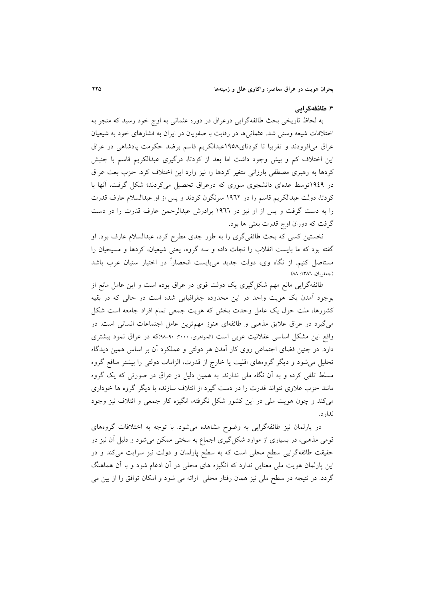#### ۳. طائفهگرائی

به لحاظ تاریخی بحث طائفهگرایی درعراق در دوره عثمانی به اوج خود رسید که منجر به اختلافات شیعه وسنی شد. عثمانیها در رقابت با صفویان در ایران به فشارهای خود به شیعیان عراق می افزودند و تقریبا تا کودتای۱۹۵۸عبدالکریم قاسم برضد حکومت پادشاهی در عراق این اختلاف کم و بیش وجود داشت اما بعد از کودتا، درگیری عبدالکریم قاسم با جنبش کردها به رهبری مصطفی بارزانی متغیر کردها را نیز وارد این اختلاف کرد. حزب بعث عراق در ۱۹٤۹توسط عدمای دانشجوی سوری که درعراق تحصیل می کردند؛ شکل گرفت، آنها با کودتا، دولت عبدالکریم قاسم را در ۱۹٦۲ سرنگون کردند و پس از او عبدالسلام عارف قدرت را به دست گرفت و پس از او نیز در ۱۹۲۲ برادرش عبدالرحمن عارف قدرت را در دست گرفت که دوران اوج قدرت بعثی ها بود.

نخستین کسی که بحث طائفی گری را به طور جدی مطرح کرد، عبدالسلام عارف بود. او گفته بود که ما بایست انقلاب را نجات داده و سه گروه، یعنی شیعیان، کردها و مسیحیان را مستاصل کنیم. از نگاه وی، دولت جدید میبایست انحصاراً در اختیار سنیان عرب باشد (جعفريان، ١٣٨٦: ٨٨)

طائفهگرایی مانع مهم شکل گیری یک دولت قوی در عراق بوده است و این عامل مانع از بوجود آمدن یک هویت واحد در این محدوده جغرافیایی شده است در حالی که در بقیه کشورها، ملت حول یک عامل وحدت بخش که هویت جمعی تمام افراد جامعه است شکل می گیرد در عراق علایق مذهبی و طائفهای هنوز مهمترین عامل اجتماعات انسانی است. در واقع این مشکل اساسی عقلانیت عربی است (الجواهری، ۲۰۰۰: ۹۰-۹۸)که در عراق نمود بیشتری دارد. در چنین فضای اجتماعی روی کار آمدن هر دولتی و عملکرد آن بر اساس همین دیدگاه تحلیل می شود و دیگر گروههای اقلیت یا خارج از قدرت، الزامات دولتی را بیشتر منافع گروه مسلط تلقی کرده و به آن نگاه ملی ندارند. به همین دلیل در عراق در صورتی که یک گروه مانند حزب علاوی نتواند قدرت را در دست گیرد از ائتلاف سازنده با دیگر گروه ها خوداری می کند و چون هویت ملی در این کشور شکل نگرفته، انگیزه کار جمعی و ائتلاف نیز وجود ندار د.

در پارلمان نیز طائفهگرایی به وضوح مشاهده میشود. با توجه به اختلافات گروههای قومی مذهبی، در بسیاری از موارد شکل گیری اجماع به سختی ممکن می شود و دلیل آن نیز در حقیقت طائفهگرایی سطح محلی است که به سطح پارلمان و دولت نیز سرایت میکند و در این پارلمان هویت ملی معنایی ندارد که انگیزه های محلی در آن ادغام شود و با آن هماهنگ گردد. در نتیجه در سطح ملی نیز همان رفتار محلی ارائه می شود و امکان توافق را از بین می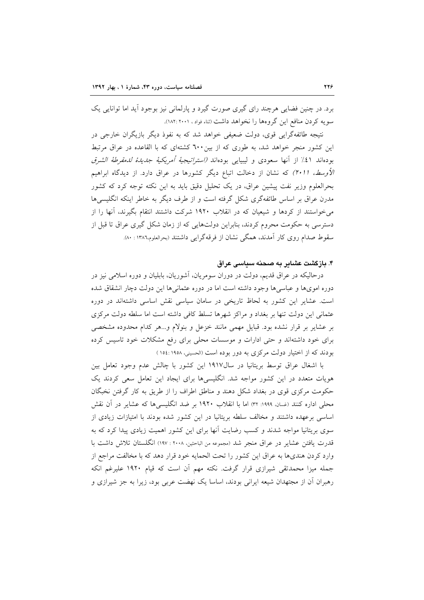برد. در چنین فضایی هرچند رای گیری صورت گیرد و پارلمانی نیز بوجود آید اما توانایی یک سویه کردن منافع این گروهها را نخواهد داشت (ثناء فواد، ۱۸۲:۲۰۰۱).

نتیجه طائفهگرایی قوی، دولت ضعیفی خواهد شد که به نفوذ دیگر بازیگران خارجی در این کشور منجر خواهد شد، به طوری که از بین ٦٠٠ کشتهای که با القاعده در عراق مرتبط بودهاند ٤١٪ از آنها سعودي و ليبيايي بودهاند *(استراتيجية أمريكية جديدة لدمقرطة الشرق* /*لأوسط، ۲۰۱۱)* که نشان از دخالت اتباع دیگر کشورها در عراق دارد. از دیدگاه ابراهیم بحرالعلوم وزیر نفت پیشین عراق، در یک تحلیل دقیق باید به این نکته توجه کرد که کشور مدرن عراق بر اساس طائفهگری شکل گرفته است و از طرف دیگر به خاطر اینکه انگلیسه ها میخواستند از کردها و شیعیان که در انقلاب ۱۹۲۰ شرکت داشتند انتقام بگیرند، آنها را از دسترسی به حکومت محروم کردند، بنابراین دولتهایی که از زمان شکل گیری عراق تا قبل از سقوط صدام روی کار آمدند، همگی نشان از فرقهگرایی داشتند (بحرالعلوم،١٣٨٦ : ٨٠).

## ۴. بازگشت عشایر به صحنه سیاسی عراق

درحالیکه در عراق قدیم، دولت در دوران سومریان، آشوریان، بابلیان و دوره اسلامی نیز در دوره امویها و عباسیها وجود داشته است اما در دوره عثمانیها این دولت دچار انشقاق شده است. عشایر این کشور به لحاظ تاریخی در سامان سیاسی نقش اساسی داشتهاند در دوره عثمانی این دولت تنها بر بغداد و مراکز شهرها تسلط کافی داشته است اما سلطه دولت مرکزی بر عشایر بر قرار نشده بود. قبایل مهمی مانند خزعل و بنولام و...هر کدام محدوده مشخصی برای خود داشتهاند و حتی ادارات و موسسات محلی برای رفع مشکلات خود تاسیس کرده بودند که از اختیار دولت مرکزی به دور بوده است (الحسینی، ۱۹۵۸: ۱۵٤: ۱

با اشغال عراق توسط بريتانيا در سال١٩١٧ اين كشور با چالش عدم وجود تعامل بين هویات متعدد در این کشور مواجه شد. انگلیسیها برای ایجاد این تعامل سعی کردند یک حکومت مرکزی قوی در بغداد شکل دهند و مناطق اطراف را از طریق به کار گرفتن نخبگان محلَّى اداره كنند (غسان، ١٩٩٩: ٣٢) اما با انقلاب ١٩٢٠ بر ضد انگليسي ها كه عشاير در آن نقش اساسی برعهده داشتند و مخالف سلطه بریتانیا در این کشور شده بودند با امتیازات زیادی از سوی بریتانیا مواجه شدند و کسب رضایت أنها برای این کشور اهمیت زیادی پیدا کرد که به قدرت یافتن عشایر در عراق منجر شد (مجموعه من الباحثین، ۲۰۰۸ : ۱۹۷) انگلستان تلاش داشت با وارد کردن هندیها به عراق این کشور را تحت الحمایه خود قرار دهد که با مخالفت مراجع از جمله میزا محمدتقی شیرازی قرار گرفت. نکته مهم آن است که قیام ۱۹۲۰ علیرغم انکه رهبران اَن از مجتهدان شیعه ایرانی بودند، اساسا یک نهضت عربی بود، زیرا به جز شیرازی و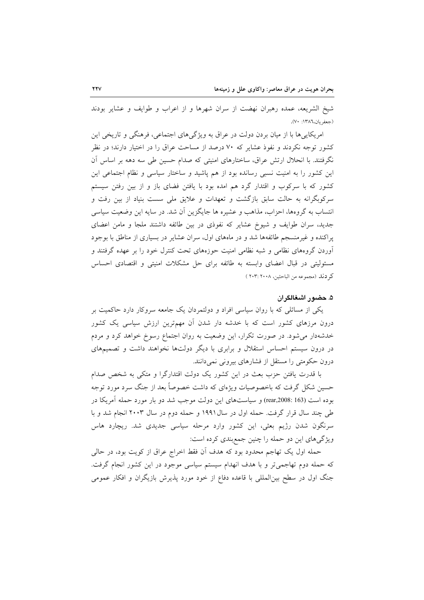شیخ الشریعه، عمده رهبران نهضت از سران شهرها و از اعراب و طوایف و عشایر بودند (جعفريان،١٣٨٦: ٧٠).

امریکاییها با از میان بردن دولت در عراق به ویژگیهای اجتماعی، فرهنگی و تاریخی این کشور توجه نکردند و نفوذ عشایر که ۷۰ درصد از مساحت عراق را در اختیار دارند؛ در نظر نگرفتند. با انحلال ارتش عراق، ساختارهای امنیتی که صدام حسین طی سه دهه بر اساس آن این کشور را به امنیت نسبی رسانده بود از هم پاشید و ساختار سیاسی و نظام اجتماعی این کشور که با سرکوب و اقتدار گرد هم امده بود با یافتن فضای باز و از بین رفتن سیستم سرکوبگرانه به حالت سابق بازگشت و تعهدات و علایق ملی سست بنیاد از بین رفت و انتساب به گروهها، احزاب، مذاهب و عشیره ها جایگزین آن شد. در سایه این وضعیت سیاسی جدید، سران طوایف و شیوخ عشایر که نفوذی در بین طائفه داشتند ملجا و مامن اعضای یر اکنده و غیر منسجم طائفهها شد و در ماههای اول، سران عشایر در بسیاری از مناطق با بوجود آوردن گروههای نظامی و شبه نظامی امنیت حوزههای تحت کنترل خود را بر عهده گرفتند و مسئولیتی در قبال اعضای وابسته به طائفه برای حل مشکلات امنیتی و اقتصادی احساس كردند (مجموعه من الباحثين، ٢٠٠٨ :٢٠٣ )

#### ۵. حضور اشغالگران

یکی از مسائلی که با روان سیاسی افراد و دولتمردان یک جامعه سروکار دارد حاکمیت بر درون مرزهای کشور است که با خدشه دار شدن آن مهمترین ارزش سیاسی یک کشور خدشهدار می شود. در صورت تکرار، این وضعیت به روان اجتماع رسوخ خواهد کرد و مردم در درون سیستم احساس استقلال و برابری با دیگر دولتها نخواهند داشت و تصمیمهای درون حکومتی را مستقل از فشارهای بیرونی نمیدانند.

با قدرت یافتن حزب بعث در این کشور یک دولت اقتدارگرا و متکی به شخص صدام حسین شکل گرفت که باخصوصیات ویژهای که داشت خصوصاً بعد از جنگ سرد مورد توجه بوده است (rear,2008: 163) و سیاستهای این دولت موجب شد دو بار مورد حمله آمریکا در طی چند سال قرار گرفت. حمله اول در سال ۱۹۹۱ و حمله دوم در سال ۲۰۰۳ انجام شد و با سرنگون شدن رژیم بعثی، این کشور وارد مرحله سیاسی جدیدی شد. ریچارد هاس ویژگیهای این دو حمله را چنین جمعبندی کرده است:

حمله اول یک تهاجم محدود بود که هدف آن فقط اخراج عراق از کویت بود، در حالی که حمله دوم تهاجمیتر و با هدف انهدام سیستم سیاسی موجود در این کشور انجام گرفت. جنگ اول در سطح بین|لمللی با قاعده دفاع از خود مورد پذیرش بازیگران و افکار عمومی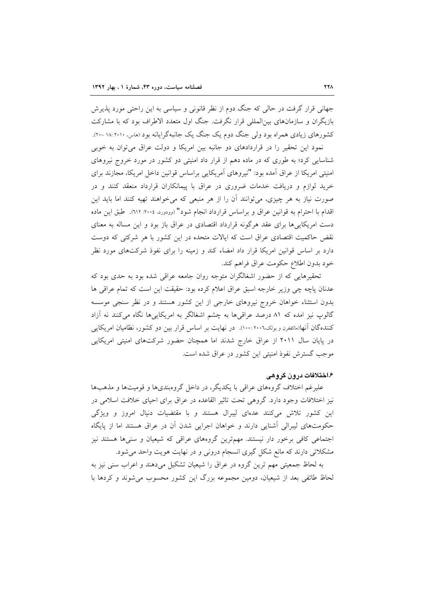جهانی قرار گرفت در حالی که جنگ دوم از نظر قانونی و سیاسی به این راحتی مورد پذیرش بازیگران و سازمانهای بین|لمللی قرار نگرفت. جنگ اول متعدد الاطراف بود که با مشارکت کشورهای زیادی همراه بود ولی جنگ دوم یک جنگ یک جانبهگرایانه بود (هاس، ۱۸: ۲۰۱۰ -۲۰).

نمود این تحقیر را در قراردادهای دو جانبه بین امریکا و دولت عراق می توان به خوبی شناسایی کرد؛ به طوری که در ماده دهم از قرار داد امنیتی دو کشور در مورد خروج نیروهای امنیتی امریکا از عراق آمده بود: "نیروهای آمریکایی براساس قوانین داخل امریکا، مجازند برای خرید لوازم و دریافت خدمات ضروری در عراق با پیمانکاران قرارداد منعقد کنند و در صورت نیاز به هر چیزی، می توانند آن را از هر منبعی که می خواهند تهیه کنند اما باید این اقدام با احترام به قوانین عراق و براساس قرارداد انجام شود" (وودورد، ۲۰۰۶: ۲۱۲). طبق این ماده دست امریکایی ها برای عقد هرگونه قرارداد اقتصادی در عراق باز بود و این مساله به معنای نقض حاکمیت اقتصادی عراق است که ایالات متحده در این کشور با هر شرکتی که دوست دارد بر اساس قوانین امریکا قرار داد امضاء کند و زمینه را برای نفوذ شرکتهای مورد نظر خود بدون اطلاع حكومت عراق فراهم كند.

تحقیرهایی که از حضور اشغالگران متوجه روان جامعه عراقی شده بود به حدی بود که عدنان پاچه چی وزیر خارجه اسبق عراق اعلام کرده بود: حقیقت این است که تمام عراقبی ها بدون استثناء خواهان خروج نیروهای خارجی از این کشور هستند و در نظر سنجی موسسه گالوپ نیز امده که ۸۱ درصد عراقیها به چشم اشغالگر به امریکاییها نگاه میکنند نه آزاد کنندهگان آنها(ماکففرن و بولک،۲۰۰:۲۰۰۱). در نهایت بر اساس قرار بین دو کشور، نظامیان امریکایی در پایان سال ۲۰۱۱ از عراق خارج شدند اما همچنان حضور شرکتهای امنیتی امریکایی موجب گسترش نفوذ امنیتی این کشور در عراق شده است.

#### ۱.۶ـختلافات درون گروهی

علیرغم اختلاف گروههای عراقی با یکدیگر، در داخل گروهبندیها و قومیتها و مذهبها نیز اختلافات وجود دارد. گروهی تحت تاثیر القاعده در عراق برای احیای خلافت اسلامی در این کشور تلاش میکنند عدهای لیبرال هستند و با مقتضیات دنیال امروز و ویژگی حکومتهای لیبرالی آشنایی دارند و خواهان اجرایی شدن آن در عراق هستند اما از پایگاه اجتماعی کافی برخور دار نیستند. مهمترین گروههای عراقی که شیعیان و سنیها هستند نیز مشکلاتی دارند که مانع شکل گیری انسجام درونی و در نهایت هویت واحد می شود.

به لحاظ جمعیتی مهم ترین گروه در عراق را شیعیان تشکیل میدهند و اعراب سنی نیز به لحاظ طائفی بعد از شیعیان، دومین مجموعه بزرگ این کشور محسوب می شوند و کردها با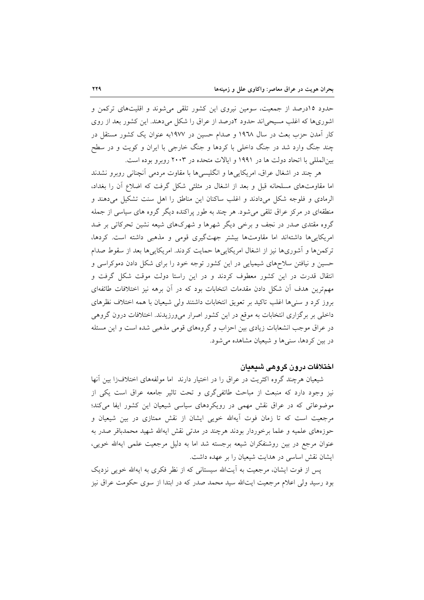حدود ۱۵درصد از جمعیت، سومین نیروی این کشور تلقی می شوند و اقلیتهای ترکمن و اشوریها که اغلب مسیحی اند حدود ۲درصد از عراق را شکل می دهند. این کشور بعد از روی کار آمدن حزب بعث در سال ۱۹۶۸ و صدام حسین در ۱۹۷۷به عنوان یک کشور مستقل در چند جنگ وارد شد در جنگ داخلی با کردها و جنگ خارجی با ایران و کویت و در سطح بینالمللی با اتحاد دولت ها در ۱۹۹۱ و ایالات متحده در ۲۰۰۳ روبرو بوده است.

هر چند در اشغال عراق، امریکاییها و انگلیسیها با مقاوت مردمی آنچنانی روبرو نشدند اما مقاومتهای مسلحانه قبل و بعد از اشغال در مثلثی شکل گرفت که اضلاع آن را بغداد، الرمادي و فلوجه شكل مى دادند و اغلب ساكنان اين مناطق را اهل سنت تشكيل مى دهند و منطقهای در مرکز عراق تلقی میشود. هر چند به طور پراکنده دیگر گروه های سیاسی از جمله گروه مقتدی صدر در نجف و برخی دیگر شهرها و شهرکهای شیعه نشین تحرکاتی بر ضد امریکایی ها داشتهاند اما مقاومتها بیشتر جهتگیری قومی و مذهبی داشته است. کردها، ترکمنها و اَشوریها نیز از اشغال امریکاییها حمایت کردند. امریکاییها بعد از سقوط صدام حسین و نیافتن سلاحهای شیمیایی در این کشور توجه خود را برای شکل دادن دموکراسی و انتقال قدرت در این کشور معطوف کردند و در این راستا دولت موقت شکل گرفت و مهمترین هدف آن شکل دادن مقدمات انتخابات بود که در آن برهه نیز اختلافات طائفهای بروز كرد و سنىها اغلب تاكيد بر تعويق انتخابات داشتند ولى شيعيان با همه اختلاف نظرهاى داخلی بر برگزاری انتخابات به موقع در این کشور اصرار می ورزیدند. اختلافات درون گروهی در عراق موجب انشعابات زیادی بین احزاب و گروههای قومی مذهبی شده است و این مسئله در بین کردها، سنیها و شیعیان مشاهده می شود.

## اختلافات درون گروهی شیعیان

شیعیان هرچند گروه اکثریت در عراق را در اختیار دارند اما مولفههای اختلاف زا بین آنها نیز وجود دارد که منبعث از مباحث طائفی گری و تحت تاثیر جامعه عراق است یکی از موضوعاتی که در عراق نقش مهمی در رویکردهای سیاسی شیعیان این کشور ایفا میکند؛ مرجعیت است که تا زمان فوت آیهالله خویی ایشان از نقش ممتازی در بین شیعیان و حوزههای علمیه و علما برخوردار بودند هرچند در مدتی نقش ایهالله شهید محمدباقر صدر به عنوان مرجع در بین روشنفکران شیعه برجسته شد اما به دلیل مرجعیت علمی ایهالله خویی، ایشان نقش اساسی در هدایت شیعیان را بر عهده داشت.

پس از فوت ایشان، مرجعیت به آیتالله سیستانی که از نظر فکری به ایهالله خویی نزدیک بود رسید ولی اعلام مرجعیت ایتالله سید محمد صدر که در ابتدا از سوی حکومت عراق نیز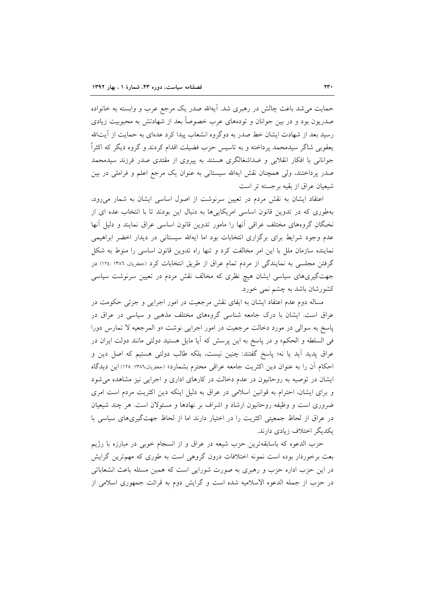حمایت می شد باعث چالش در رهبری شد. آیهالله صدر یک مرجع عرب و وابسته به خانواده صدریون بود و در بین جوانان و تودههای عرب خصوصاً بعد از شهادتش به محبوبیت زیادی رسید بعد از شهادت ایشان خط صدر به دوگروه انشعاب پیدا کرد عدمای به حمایت از آیتالله یعقوبی شاگر سیدمحمد پرداخته و به تاسیس حزب فضیلت اقدام کردند و گروه دیگر که اکثراً جوانانی با افکار انقلابی و ضداشغالگری هستند به پیروی از مقتدی صدر فرزند سیدمحمد صدر پرداختند، ولی همچنان نقش ایهالله سیستانی به عنوان یک مرجع اعلم و فراملی در بین شیعیان عراق از بقیه برجسته تر است

اعتقاد ایشان به نقش مردم در تعیین سرنوشت از اصول اساسی ایشان به شمار میرود، بهطوری که در تدوین قانون اساسی امریکاییها به دنبال این بودند تا با انتخاب عده ای از نخبگانِ گروههای مختلف عراقی آنها را مامور تدوین قانون اساسی عراق نمایند و دلیل آنها عدم وجود شرایط برای برگزاری انتخابات بود اما ایهالله سیستانی در دیدار اخضر ابراهیمی نماینده سازمان ملل با این امر مخالفت کرد و تنها راه تدوین قانون اساسی را منوط به شکل گرفتن مجلسی به نمایندگی از مردم تمام عراق از طریق انتخابات کرد (جعفریان، ۱۳۸۲ :۱۲٤) در جهت گیریهای سیاسی ایشان هیچ نظری که مخالف نقش مردم در تعیین سرنوشت سیاسی کشورشان باشد به چشم نمی خورد.

مساله دوم عدم اعتقاد ایشان به ایفای نقش مرجعیت در امور اجرایی و جزئی حکومت در عراق است. ایشان با درک جامعه شناسی گروههای مختلف مذهبی و سیاسی در عراق در پاسخ به سوالی در مورد دخالت مرجعیت در امور اجرایی نوشت «و المرجعیه لا تمارس دورا في السلطه و الحكم» و در ياسخ به اين پرسش كه آيا مايل هستيد دولتي مانند دولت ايران در عراق پدید اَید یا نه؛ پاسخ گفتند: چنین نیست، بلکه طالب دولتی هستیم که اصل دین و احکام آن را به عنوان دین اکثریت جامعه عراقبی محترم بشمارد» (جعفریان،۱۳۸۲: ۱۲۵) این دیدگاه ایشان در توصیه به روحانیون در عدم دخالت در کارهای اداری و اجرایی نیز مشاهده می شود و برای ایشان، احترام به قوانین اسلامی در عراق به دلیل اینکه دین اکثریت مردم است امری ضروری است و وظیفه روحانیون ارشاد و اشراف بر نهادها و مسئولان است. هر چند شیعیان در عراق از لحاظ جمعیتی اکثریت را در اختیار دارند اما از لحاظ جهتگیریهای سیاسی با يكديگر اختلاف زيادي دارند.

حزب الدعوه كه باسابقهترين حزب شيعه در عراق و از انسجام خوبي در مبارزه با رژيم بعث برخوردار بوده است نمونه اختلافات درون گروهی است به طوری که مهمترین گرایش در این حزب اداره حزب و رهبری به صورت شورایی است که همین مسئله باعث انشعاباتی در حزب از جمله الدعوه الاسلاميه شده است و گرايش دوم به قرائت جمهوري اسلامي از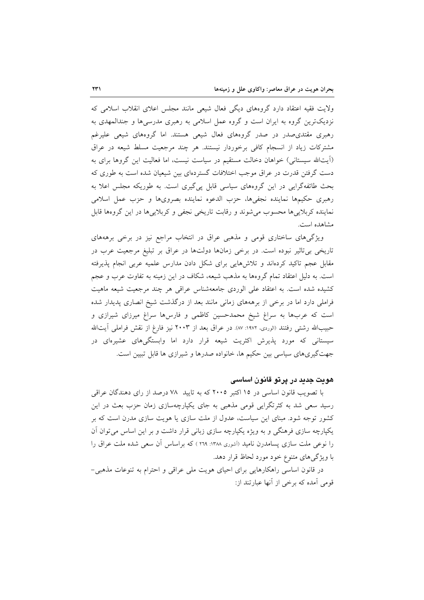ولایت فقیه اعتقاد دارد گروههای دیگی فعال شیعی مانند مجلس اعلای انقلاب اسلامی که نزدیکترین گروه به ایران است و گروه عمل اسلامی به رهبری مدرسی ها و جندالمهدی به رهبری مقتدی صدر در صدر گروههای فعال شیعی هستند. اما گروههای شیعی علیرغم مشترکات زیاد از انسجام کافی برخوردار نیستند. هر چند مرجعیت مسلط شیعه در عراق (اَيتالله سيستاني) خواهان دخالت مستقيم در سياست نيست، اما فعاليت اين گروها براى به دست گرفتن قدرت در عراق موجب اختلافات گستردهای بین شیعیان شده است به طوری که بحث طائفهگرایی در این گروههای سیاسی قابل پیگیری است. به طوریکه مجلس اعلا به رهبري حكيمها نماينده نجفىها، حزب الدعوه نماينده بصروىها و حزب عمل اسلامى نماینده کربلاییها محسوب می شوند و رقابت تاریخی نجفی و کربلاییها در این گروهها قابل مشاهده است.

ویژگیهای ساختاری قومی و مذهبی عراق در انتخاب مراجع نیز در برخی برهههای تاریخی بیتاثیر نبوده است. در برخی زمانها دولتها در عراق بر تبلیغ مرجعیت عرب در مقابل عجم تاکید کردهاند و تلاشهایی برای شکل دادن مدارس علمیه عربی انجام پذیرفته است. به دلیل اعتقاد تمام گروهها به مذهب شیعه، شکاف در این زمینه به تفاوت عرب و عجم کشیده شده است. به اعتقاد علی الوردی جامعهشناس عراقبی هر چند مرجعیت شیعه ماهیت فراملی دارد اما در برخی از برهههای زمانی مانند بعد از درگذشت شیخ انصاری پدیدار شده است که عربها به سراغ شیخ محمدحسین کاظمی و فارسها سراغ میرزای شیرازی و حبیبالله رشتی رفتند (الوردی، ۱۹۷۲: ۸۷. در عراق بعد از ۲۰۰۳ نیز فارغ از نقش فراملی اَیتالله سیستانی که مورد پذیرش اکثریت شیعه قرار دارد اما وابستگیهای عشیرهای در جهت گیریهای سیاسی بین حکیم ها، خانواده صدرها و شیرازی ها قابل تبیین است.

# هويت جديد در پرتو قانون اساسی

با تصویب قانون اساسی در ۱۵ اکتبر ۲۰۰۵ که به تایید ۷۸ درصد از رای دهندگان عراقی رسید سعی شد به کثرتگرایی قومی مذهبی به جای یکپارچهسازی زمان حزب بعث در این کشور توجه شود. مبنای این سیاست، عدول از ملت سازی یا هویت سازی مدرن است که بر یکپارچه سازی فرهنگی و به ویژه یکپارچه سازی زبانی قرار داشت و بر این اساس میتوان أن را نوعی ملت سازی پسامدرن نامید (أشوری ١٣٨٨: ٢٦٩ ) که براساس آن سعی شده ملت عراق را با ویژگی های متنوع خود مورد لحاظ قرار دهد.

در قانون اساسی راهکارهایی برای احیای هویت ملی عراقی و احترام به تنوعات مذهبی-قومی آمده که برخی از آنها عبارتند از: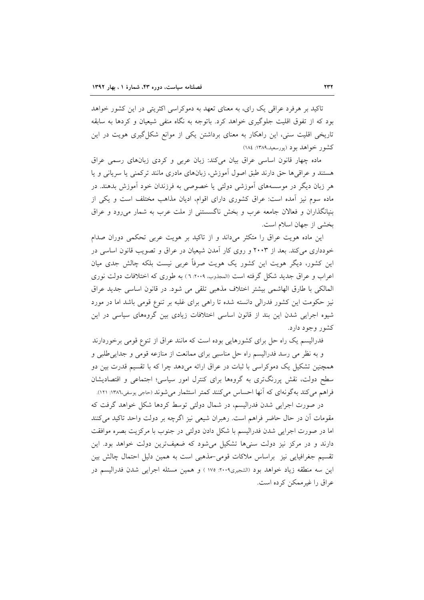تاکید بر هرفرد عراقی یک رای، به معنای تعهد به دموکراسی اکثریتی در این کشور خواهد بود که از تفوق اقلیت جلوگیری خواهد کرد. باتوجه به نگاه منفی شیعیان و کردها به سابقه تاریخی اقلیت سنی، این راهکار به معنای برداشتن یکی از موانع شکل گیری هویت در این کشور خواهد بود (پورسعید،۱۳۸۹: ۱۸٤)

ماده چهار قانون اساسی عراق بیان میکند: زبان عربی و کردی زبانهای رسمی عراق هستند و عراقی ها حق دارند طبق اصول آموزش، زبانهای مادری مانند ترکمنی یا سریانی و یا هر زبان دیگر در موسسههای آموزشی دولتی یا خصوصی به فرزندان خود آموزش بدهند. در ماده سوم نیز آمده است: عراق کشوری دارای اقوام، ادیان مذاهب مختلف است و یکی از بنیانگذاران و فعالان جامعه عرب و بخش ناگسستنی از ملت عرب به شمار می رود و عراق بخشی از جهان اسلام است.

این ماده هویت عراق را متکثر میداند و از تاکید بر هویت عربی تحکمی دوران صدام خودداری میکند. بعد از ۲۰۰۳ و روی کار آمدن شیعیان در عراق و تصویب قانون اساسی در این کشور، دیگر هویت این کشور یک هویت صرفاً عربی نیست بلکه چالش جدی میان اعراب و عراق جدید شکل گرفته است (المجذوب، ۲۰۰۹: ٦ ) به طوری که اختلافات دولت نوری المالکی با طارق الهاشمی بیشتر اختلاف مذهبی تلقی می شود. در قانون اساسی جدید عراق نیز حکومت این کشور فدرالی دانسته شده تا راهی برای غلبه بر تنوع قومی باشد اما در مورد شیوه اجرایی شدن این بند از قانون اساسی اختلافات زیادی بین گروههای سیاسی در این کشور وجود دارد.

فدرالیسم یک راه حل برای کشورهایی بوده است که مانند عراق از تنوع قومی برخوردارند و به نظر می رسد فدرالیسم راه حل مناسبی برای ممانعت از منازعه قومی و جدایی طلبی و همچنین تشکیل یک دموکراسی با ثبات در عراق ارائه میدهد چرا که با تقسیم قدرت بین دو سطح دولت، نقش پررنگتری به گروهها برای کنترل امور سیاسی؛ اجتماعی و اقتصادیشان فراهم می کند بهگونهای که آنها احساس میکنند کمتر استثمار میشوند (حاجی یوسفی،۱۳۸٦: ۱۲۱).

در صورت اجرایی شدن فدرالیسم، در شمال دولتی توسط کردها شکل خواهد گرفت که مقومات أن در حال حاضر فراهم است. رهبران شیعی نیز اگرچه بر دولت واحد تاکید می کنند اما در صورت اجرایی شدن فدرالیسم با شکل دادن دولتی در جنوب با مرکزیت بصره موافقت دارند و در مرکز نیز دولت سنیها تشکیل میشود که ضعیفترین دولت خواهد بود. این تقسیم جغرافیایی نیز براساس ملاکات قومی-مذهبی است به همین دلیل احتمال چالش بین این سه منطقه زیاد خواهد بود (الشجیری۲۰۰۹: ۱۷۵ ) و همین مسئله اجرایی شدن فدرالیسم در عراق را غیر ممکن کرده است.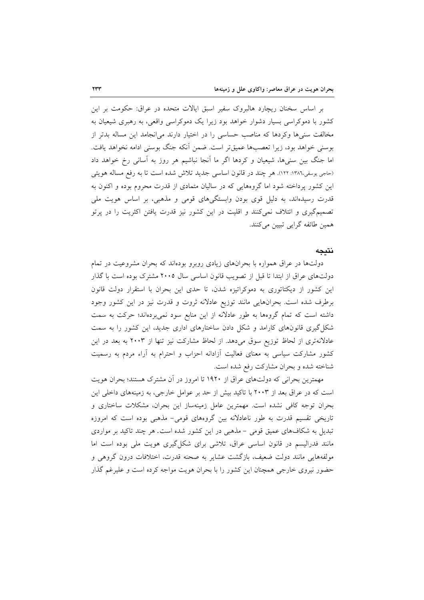بر اساس سخنان ریچارد هالبروک سفیر اسبق ایالات متحده در عراق: حکومت بر این کشور با دموکراسی بسیار دشوار خواهد بود زیرا یک دموکراسی واقعی، به رهبری شیعیان به مخالفت سنیها وکردها که مناصب حساسی را در اختیار دارند میانجامد این مساله بدتر از بوسنی خواهد بود، زیرا تعصبها عمیقتر است. ضمن أنکه جنگ بوسنی ادامه نخواهد یافت. اما جنگ بین سنیها، شیعیان و کردها اگر ما آنجا نباشیم هر روز به آسانی رخ خواهد داد (حاجي يوسفي،١٣٨٦: ١٢٢). هر چند در قانون اساسي جديد تلاش شده است تا به رفع مساله هويتي این کشور پرداخته شود اما گروههایی که در سالیان متمادی از قدرت محروم بوده و اکنون به قدرت رسیدهاند، به دلیل قوی بودن وابستگیهای قومی و مذهبی، بر اساس هویت ملی تصمیمگیری و ائتلاف نمیکنند و اقلیت در این کشور نیز قدرت یافتن اکثریت را در پرتو همین طائفه گرایی تبیین میکنند.

#### نتيجه

دولتها در عراق همواره با بحرانهای زیادی روبرو بودهاند که بحران مشروعیت در تمام دولتهای عراق از ابتدا تا قبل از تصویب قانون اساسی سال ۲۰۰۵ مشترک بوده است با گذار این کشور از دیکتاتوری به دموکراتیزه شدن، تا حدی این بحران با استقرار دولت قانون برطرف شده است. بحرانهایی مانند توزیع عادلانه ثروت و قدرت نیز در این کشور وجود داشته است که تمام گروهها به طور عادلانه از این منابع سود نمی بردهاند؛ حرکت به سمت شکل گیری قانونهای کارامد و شکل دادن ساختارهای اداری جدید، این کشور را به سمت عادلانهتری از لحاظ توزیع سوق میدهد. از لحاظ مشارکت نیز تنها از ۲۰۰۳ به بعد در این کشور مشارکت سیاسی به معنای فعالیت آزادانه احزاب و احترام به آراء مردم به رسمیت شناخته شده و بحران مشاركت رفع شده است.

مهمترین بحرانی که دولتهای عراق از ۱۹۲۰ تا امروز در آن مشترک هستند؛ بحران هویت است که در عراق بعد از ۲۰۰۳ با تاکید بیش از حد بر عوامل خارجی، به زمینههای داخلی این بحران توجه كافي نشده است. مهمترين عامل زمينهساز اين بحران، مشكلات ساختاري و تاریخی تقسیم قدرت به طور ناعادلانه بین گروههای قومی- مذهبی بوده است که امروزه تبدیل به شکافهای عمیق قومی - مذهبی در این کشور شده است. هر چند تاکید بر مواردی مانند فدرالیسم در قانون اساسی عراق، تلاشی برای شکلگیری هویت ملی بوده است اما مولفههایی مانند دولت ضعیف، بازگشت عشایر به صحنه قدرت، اختلافات درون گروهی و حضور نیروی خارجی همچنان این کشور را با بحران هویت مواجه کرده است و علیرغم گذار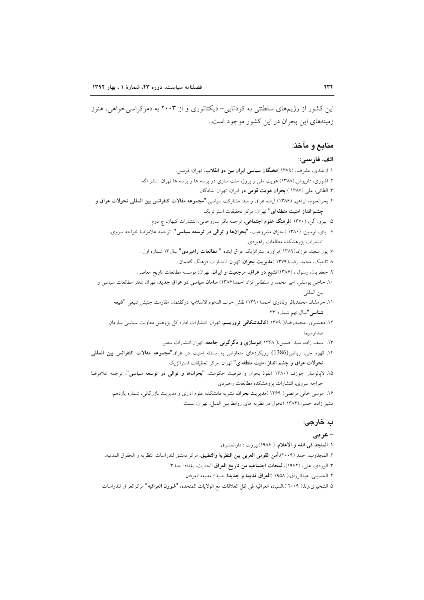این کشور از رژیمهای سلطنتی به کودتایی- دیکتاتوری و از ۲۰۰۳ به دموکراسی خواهی، هنوز زمینههای این بحران در این کشور موجود است..

# منابع و مآخذ:

## الف. فارسى:

- ۱. ازغندی، علیرضا، (۱۳۷۹)نخبگان سیاسی ایران بین دو انقلاب، تهران: قومس. ۲. اشوری، داریوش،(۱۳۸۸) هویت ملی و پروژه ملت سازی در پرسه ها و پرسه ها تهران : نشر اگه. ٣. الطائي، علي (١٣٨٧ ) بحران هويت قومي در ايران، تهران: شادگان ۴. بحرالعلوم، ابراهيم (۱۳۸۶) آينده عراق و مبدا مشاركت سياسي **"مجموعه مقالات كنفرانس بين المللي تحولات عراق و** چشم انداز امنیت منطقهای" تهران: مرکز تحقیقات استراتژیک ۵. بیرو، آلن، (۱۳۷۰)فرهنگ علوم اجتماعی، ترجمه باقر ساروخانی، انتشارات کیهان، چ دوم. ۶. پای، لوسین، (۱۳۸۰)بحران مشروعیت، **"بحرانها و توالی در توسعه سیاسی"**، ترجمه غلامرضا خواجه سروی، انتشارات يژوهشكده مطالعات راهبردي. ۷. یور سعید، فرزاد،(۱۳۸۹)براورد استراتژیک عراق اینده **" مطالعات راهبردی"** سال۱۳ شماره اول . ٨ تاجيك، محمد رضا،(١٣٧٩ )مديريت بحران، تهران: انتشارات فرهنگ گفتمان. ۹. جعفریان، رسول ، (۱۳۸۶)تشیع در عراق، مرجعیت و ایران، تهران: موسسه مطالعات تاریخ معاصر. ۱۰. حاجی یوسفی، امیر محمد و سلطانی نژاد احمد(۱۳۸۶) **سامان سیاسی در عراق جدید.** تهران :دفتر مطالعات سیاسی و بين المللي. ١١. خرمشاد، محمدباقر ونادري احمد(١٣٩٠) نقش حزب الدعوه الاسلاميه درگفتمان مقاومت جنبش شيعي "**شيعه شناسی "**سال نهم شماره ۳۳ ۱۲. دهشیری، محمدرضا،( ۱۳۷۹ )**کالبدشکافی تروریسم**، تهران: انتشارات اداره کل پژوهش معاونت سیاسی سازمان صداو سيما. ۱۳. سیف زاده، سید حسین،( ۱۳۶۸ )**نوسازی و دگرگونی جامعه**، تهران:انتشارات سفیر. ۱۴. قهوه چی، ریاض(1386) رویکردهای متعارض به مسئله امنیت در عراق**"مجموعه مقالات کنفرانس بین المللی** تحولات عراق و چشم انداز امنیت منطقهای" تهران: مرکز تحقیقات استراتژیک ۱۵. لاپالومبارا جوزف (۱۳۸۰ )نفوذ بحران و ظرفیت حکومت، **"بحرانها و توالی در توسعه سیاسی"**، ترجمه غلامرضا خواجه سروي، انتشارات يژوهشكده مطالعات راهبردي. ۱۶. موسی خانی مرتضی( ۱۳۶۹)م**دیریت بحران**، نشریه دانشکده علوم اداری و مدیریت بازرگانی، شماره یازدهم.
	- مشیر زاده، حمیرا،(۱۳۸۴ )تحول در نظریه های روابط بین الملل، تهران: سمت

#### ب. خارجي:

## - عربي

- ١. المنجد في الغه و الاعلام، ( ١٩٨۶)بيروت : دارالمشرق.
- ۲. المجذوب، حمد (۲۰۰۹)،أمن القومي العربي بين النظرية والتطبيق، مركز دمشق للدراسات النظريه و الحقوق المدنيه.
	- ٣. الوردي، علي، (١٩٧٢)، لمحات اجتماعيه من تاريخ العراق الحديث، بغداد: جلد٣.
		- ۴. الحسيني، عبدالرزاق،( ١٩٥٨ )العراق قديما و جديدا، صيدا: مطبعه العرفان.
- ۵. الشجيري،رنا،( ٢٠٠٩ )،السياده العراقيه في ظل العلاقات مع الولايات المتحده، "شوون العراقيه" مركزالعراق للدراسات